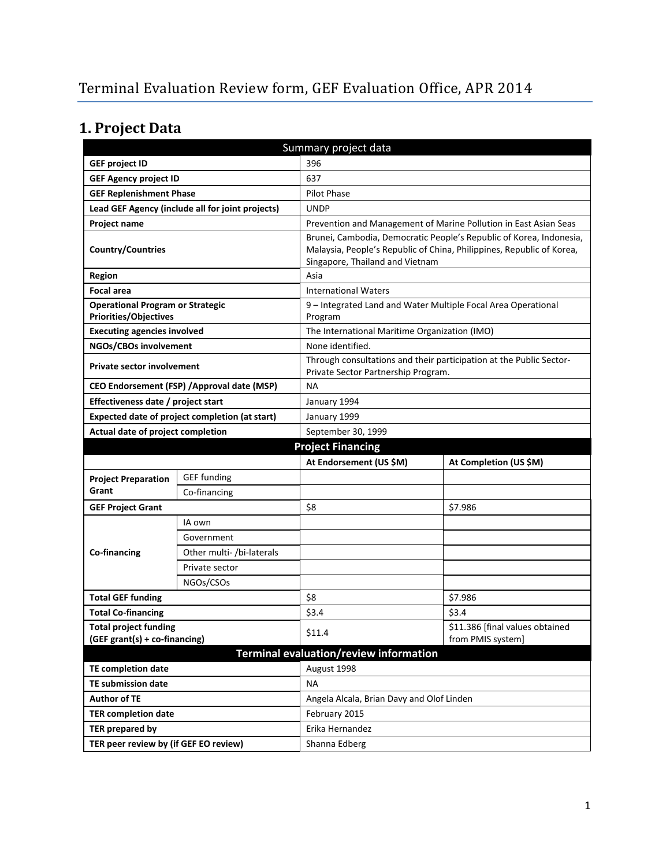# **1. Project Data**

| Summary project data                                                                    |                                             |                                                                                                                                                                                 |                                                                     |  |  |
|-----------------------------------------------------------------------------------------|---------------------------------------------|---------------------------------------------------------------------------------------------------------------------------------------------------------------------------------|---------------------------------------------------------------------|--|--|
| <b>GEF project ID</b>                                                                   |                                             | 396                                                                                                                                                                             |                                                                     |  |  |
| <b>GEF Agency project ID</b>                                                            |                                             | 637                                                                                                                                                                             |                                                                     |  |  |
| <b>GEF Replenishment Phase</b>                                                          |                                             | Pilot Phase                                                                                                                                                                     |                                                                     |  |  |
| Lead GEF Agency (include all for joint projects)                                        |                                             | <b>UNDP</b>                                                                                                                                                                     |                                                                     |  |  |
| <b>Project name</b><br>Prevention and Management of Marine Pollution in East Asian Seas |                                             |                                                                                                                                                                                 |                                                                     |  |  |
| <b>Country/Countries</b>                                                                |                                             | Brunei, Cambodia, Democratic People's Republic of Korea, Indonesia,<br>Malaysia, People's Republic of China, Philippines, Republic of Korea,<br>Singapore, Thailand and Vietnam |                                                                     |  |  |
| <b>Region</b>                                                                           |                                             | Asia                                                                                                                                                                            |                                                                     |  |  |
| <b>Focal area</b>                                                                       |                                             | <b>International Waters</b>                                                                                                                                                     |                                                                     |  |  |
| <b>Operational Program or Strategic</b><br><b>Priorities/Objectives</b>                 |                                             | 9 – Integrated Land and Water Multiple Focal Area Operational<br>Program                                                                                                        |                                                                     |  |  |
| <b>Executing agencies involved</b>                                                      |                                             | The International Maritime Organization (IMO)                                                                                                                                   |                                                                     |  |  |
| NGOs/CBOs involvement                                                                   |                                             | None identified.                                                                                                                                                                |                                                                     |  |  |
| <b>Private sector involvement</b>                                                       |                                             | Private Sector Partnership Program.                                                                                                                                             | Through consultations and their participation at the Public Sector- |  |  |
|                                                                                         | CEO Endorsement (FSP) / Approval date (MSP) | <b>NA</b>                                                                                                                                                                       |                                                                     |  |  |
| Effectiveness date / project start                                                      |                                             | January 1994                                                                                                                                                                    |                                                                     |  |  |
| Expected date of project completion (at start)                                          |                                             | January 1999                                                                                                                                                                    |                                                                     |  |  |
| Actual date of project completion                                                       |                                             | September 30, 1999                                                                                                                                                              |                                                                     |  |  |
|                                                                                         |                                             | <b>Project Financing</b>                                                                                                                                                        |                                                                     |  |  |
|                                                                                         |                                             |                                                                                                                                                                                 |                                                                     |  |  |
|                                                                                         |                                             | At Endorsement (US \$M)                                                                                                                                                         | At Completion (US \$M)                                              |  |  |
| <b>Project Preparation</b>                                                              | <b>GEF</b> funding                          |                                                                                                                                                                                 |                                                                     |  |  |
| Grant                                                                                   | Co-financing                                |                                                                                                                                                                                 |                                                                     |  |  |
| <b>GEF Project Grant</b>                                                                |                                             | \$8                                                                                                                                                                             | \$7.986                                                             |  |  |
|                                                                                         | IA own                                      |                                                                                                                                                                                 |                                                                     |  |  |
|                                                                                         | Government                                  |                                                                                                                                                                                 |                                                                     |  |  |
| Co-financing                                                                            | Other multi- /bi-laterals                   |                                                                                                                                                                                 |                                                                     |  |  |
|                                                                                         | Private sector                              |                                                                                                                                                                                 |                                                                     |  |  |
|                                                                                         | NGOs/CSOs                                   |                                                                                                                                                                                 |                                                                     |  |  |
| <b>Total GEF funding</b>                                                                |                                             | \$8                                                                                                                                                                             | \$7.986                                                             |  |  |
| <b>Total Co-financing</b>                                                               |                                             | \$3.4                                                                                                                                                                           | \$3.4                                                               |  |  |
| <b>Total project funding</b><br>(GEF grant(s) + co-financing)                           |                                             | \$11.4                                                                                                                                                                          | \$11.386 [final values obtained<br>from PMIS system]                |  |  |
|                                                                                         |                                             | Terminal evaluation/review information                                                                                                                                          |                                                                     |  |  |
| <b>TE completion date</b>                                                               |                                             | August 1998                                                                                                                                                                     |                                                                     |  |  |
| <b>TE submission date</b>                                                               |                                             | NА                                                                                                                                                                              |                                                                     |  |  |
| <b>Author of TE</b>                                                                     |                                             | Angela Alcala, Brian Davy and Olof Linden                                                                                                                                       |                                                                     |  |  |
| <b>TER completion date</b>                                                              |                                             | February 2015                                                                                                                                                                   |                                                                     |  |  |
| <b>TER prepared by</b>                                                                  |                                             | Erika Hernandez                                                                                                                                                                 |                                                                     |  |  |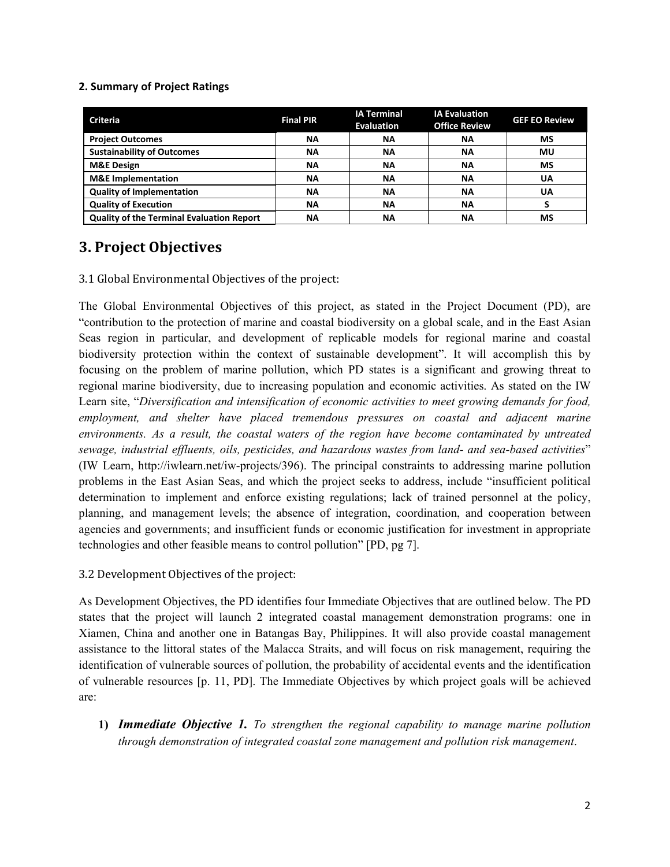#### **2. Summary of Project Ratings**

| <b>Criteria</b>                                  | <b>Final PIR</b> | <b>IA Terminal</b><br><b>Evaluation</b> | <b>IA Evaluation</b><br><b>Office Review</b> | <b>GEF EO Review</b> |
|--------------------------------------------------|------------------|-----------------------------------------|----------------------------------------------|----------------------|
| <b>Project Outcomes</b>                          | <b>NA</b>        | <b>NA</b>                               | ΝA                                           | MS                   |
| <b>Sustainability of Outcomes</b>                | <b>NA</b>        | <b>NA</b>                               | ΝA                                           | ΜU                   |
| <b>M&amp;E Design</b>                            | <b>NA</b>        | ΝA                                      | ΝA                                           | <b>MS</b>            |
| <b>M&amp;E</b> Implementation                    | <b>NA</b>        | <b>NA</b>                               | <b>NA</b>                                    | UA                   |
| <b>Quality of Implementation</b>                 | <b>NA</b>        | <b>NA</b>                               | <b>NA</b>                                    | UA                   |
| <b>Quality of Execution</b>                      | <b>NA</b>        | <b>NA</b>                               | ΝA                                           |                      |
| <b>Quality of the Terminal Evaluation Report</b> | ΝA               | ΝA                                      | NΑ                                           | MS                   |

## **3. Project Objectives**

3.1 Global Environmental Objectives of the project:

The Global Environmental Objectives of this project, as stated in the Project Document (PD), are "contribution to the protection of marine and coastal biodiversity on a global scale, and in the East Asian Seas region in particular, and development of replicable models for regional marine and coastal biodiversity protection within the context of sustainable development". It will accomplish this by focusing on the problem of marine pollution, which PD states is a significant and growing threat to regional marine biodiversity, due to increasing population and economic activities. As stated on the IW Learn site, "*Diversification and intensification of economic activities to meet growing demands for food, employment, and shelter have placed tremendous pressures on coastal and adjacent marine environments. As a result, the coastal waters of the region have become contaminated by untreated sewage, industrial effluents, oils, pesticides, and hazardous wastes from land- and sea-based activities*" (IW Learn, http://iwlearn.net/iw-projects/396). The principal constraints to addressing marine pollution problems in the East Asian Seas, and which the project seeks to address, include "insufficient political determination to implement and enforce existing regulations; lack of trained personnel at the policy, planning, and management levels; the absence of integration, coordination, and cooperation between agencies and governments; and insufficient funds or economic justification for investment in appropriate technologies and other feasible means to control pollution" [PD, pg 7].

3.2 Development Objectives of the project:

As Development Objectives, the PD identifies four Immediate Objectives that are outlined below. The PD states that the project will launch 2 integrated coastal management demonstration programs: one in Xiamen, China and another one in Batangas Bay, Philippines. It will also provide coastal management assistance to the littoral states of the Malacca Straits, and will focus on risk management, requiring the identification of vulnerable sources of pollution, the probability of accidental events and the identification of vulnerable resources [p. 11, PD]. The Immediate Objectives by which project goals will be achieved are:

**1)** *Immediate Objective 1. To strengthen the regional capability to manage marine pollution through demonstration of integrated coastal zone management and pollution risk management*.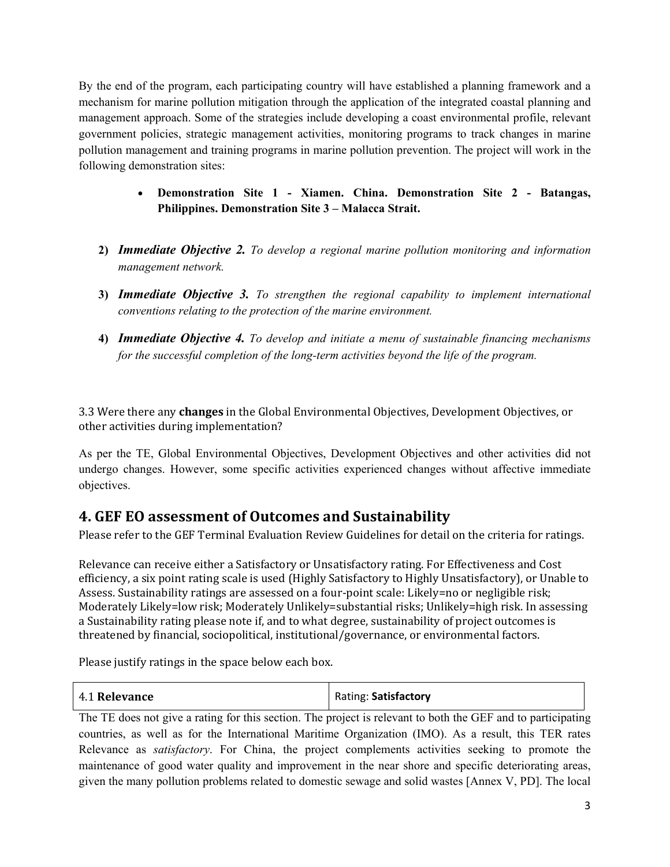By the end of the program, each participating country will have established a planning framework and a mechanism for marine pollution mitigation through the application of the integrated coastal planning and management approach. Some of the strategies include developing a coast environmental profile, relevant government policies, strategic management activities, monitoring programs to track changes in marine pollution management and training programs in marine pollution prevention. The project will work in the following demonstration sites:

- **Demonstration Site 1 Xiamen. China. Demonstration Site 2 Batangas, Philippines. Demonstration Site 3 – Malacca Strait.**
- **2)** *Immediate Objective 2. To develop a regional marine pollution monitoring and information management network.*
- **3)** *Immediate Objective 3. To strengthen the regional capability to implement international conventions relating to the protection of the marine environment.*
- **4)** *Immediate Objective 4. To develop and initiate a menu of sustainable financing mechanisms for the successful completion of the long-term activities beyond the life of the program.*

3.3 Were there any **changes** in the Global Environmental Objectives, Development Objectives, or other activities during implementation?

As per the TE, Global Environmental Objectives, Development Objectives and other activities did not undergo changes. However, some specific activities experienced changes without affective immediate objectives.

# **4. GEF EO assessment of Outcomes and Sustainability**

Please refer to the GEF Terminal Evaluation Review Guidelines for detail on the criteria for ratings.

Relevance can receive either a Satisfactory or Unsatisfactory rating. For Effectiveness and Cost efficiency, a six point rating scale is used (Highly Satisfactory to Highly Unsatisfactory), or Unable to Assess. Sustainability ratings are assessed on a four-point scale: Likely=no or negligible risk; Moderately Likely=low risk; Moderately Unlikely=substantial risks; Unlikely=high risk. In assessing a Sustainability rating please note if, and to what degree, sustainability of project outcomes is threatened by financial, sociopolitical, institutional/governance, or environmental factors.

Please justify ratings in the space below each box.

| Rating: Satisfactory<br>4.1 Relevance |  |
|---------------------------------------|--|
|---------------------------------------|--|

The TE does not give a rating for this section. The project is relevant to both the GEF and to participating countries, as well as for the International Maritime Organization (IMO). As a result, this TER rates Relevance as *satisfactory*. For China, the project complements activities seeking to promote the maintenance of good water quality and improvement in the near shore and specific deteriorating areas, given the many pollution problems related to domestic sewage and solid wastes [Annex V, PD]. The local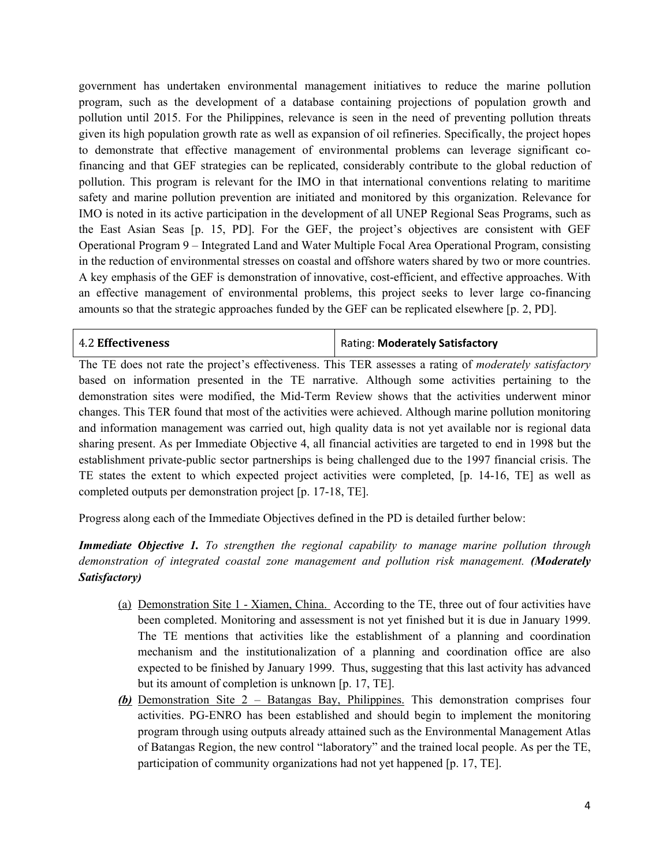government has undertaken environmental management initiatives to reduce the marine pollution program, such as the development of a database containing projections of population growth and pollution until 2015. For the Philippines, relevance is seen in the need of preventing pollution threats given its high population growth rate as well as expansion of oil refineries. Specifically, the project hopes to demonstrate that effective management of environmental problems can leverage significant cofinancing and that GEF strategies can be replicated, considerably contribute to the global reduction of pollution. This program is relevant for the IMO in that international conventions relating to maritime safety and marine pollution prevention are initiated and monitored by this organization. Relevance for IMO is noted in its active participation in the development of all UNEP Regional Seas Programs, such as the East Asian Seas [p. 15, PD]. For the GEF, the project's objectives are consistent with GEF Operational Program 9 – Integrated Land and Water Multiple Focal Area Operational Program, consisting in the reduction of environmental stresses on coastal and offshore waters shared by two or more countries. A key emphasis of the GEF is demonstration of innovative, cost-efficient, and effective approaches. With an effective management of environmental problems, this project seeks to lever large co-financing amounts so that the strategic approaches funded by the GEF can be replicated elsewhere [p. 2, PD].

| <b>4.2 Effectiveness</b> | Rating: Moderately Satisfactory |
|--------------------------|---------------------------------|
|--------------------------|---------------------------------|

The TE does not rate the project's effectiveness. This TER assesses a rating of *moderately satisfactory* based on information presented in the TE narrative. Although some activities pertaining to the demonstration sites were modified, the Mid-Term Review shows that the activities underwent minor changes. This TER found that most of the activities were achieved. Although marine pollution monitoring and information management was carried out, high quality data is not yet available nor is regional data sharing present. As per Immediate Objective 4, all financial activities are targeted to end in 1998 but the establishment private-public sector partnerships is being challenged due to the 1997 financial crisis. The TE states the extent to which expected project activities were completed, [p. 14-16, TE] as well as completed outputs per demonstration project [p. 17-18, TE].

Progress along each of the Immediate Objectives defined in the PD is detailed further below:

*Immediate Objective 1. To strengthen the regional capability to manage marine pollution through demonstration of integrated coastal zone management and pollution risk management. (Moderately Satisfactory)*

- (a) Demonstration Site 1 Xiamen, China. According to the TE, three out of four activities have been completed. Monitoring and assessment is not yet finished but it is due in January 1999. The TE mentions that activities like the establishment of a planning and coordination mechanism and the institutionalization of a planning and coordination office are also expected to be finished by January 1999. Thus, suggesting that this last activity has advanced but its amount of completion is unknown [p. 17, TE].
- *(b)* Demonstration Site 2 Batangas Bay, Philippines. This demonstration comprises four activities. PG-ENRO has been established and should begin to implement the monitoring program through using outputs already attained such as the Environmental Management Atlas of Batangas Region, the new control "laboratory" and the trained local people. As per the TE, participation of community organizations had not yet happened [p. 17, TE].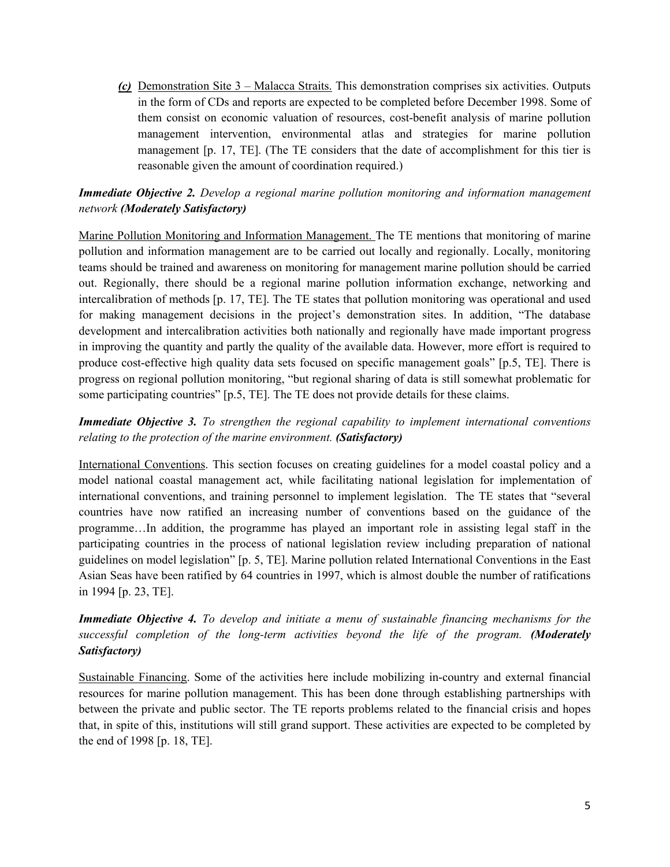*(c)* Demonstration Site 3 – Malacca Straits. This demonstration comprises six activities. Outputs in the form of CDs and reports are expected to be completed before December 1998. Some of them consist on economic valuation of resources, cost-benefit analysis of marine pollution management intervention, environmental atlas and strategies for marine pollution management [p. 17, TE]. (The TE considers that the date of accomplishment for this tier is reasonable given the amount of coordination required.)

*Immediate Objective 2. Develop a regional marine pollution monitoring and information management network (Moderately Satisfactory)*

Marine Pollution Monitoring and Information Management. The TE mentions that monitoring of marine pollution and information management are to be carried out locally and regionally. Locally, monitoring teams should be trained and awareness on monitoring for management marine pollution should be carried out. Regionally, there should be a regional marine pollution information exchange, networking and intercalibration of methods [p. 17, TE]. The TE states that pollution monitoring was operational and used for making management decisions in the project's demonstration sites. In addition, "The database development and intercalibration activities both nationally and regionally have made important progress in improving the quantity and partly the quality of the available data. However, more effort is required to produce cost-effective high quality data sets focused on specific management goals" [p.5, TE]. There is progress on regional pollution monitoring, "but regional sharing of data is still somewhat problematic for some participating countries" [p.5, TE]. The TE does not provide details for these claims.

*Immediate Objective 3. To strengthen the regional capability to implement international conventions relating to the protection of the marine environment. (Satisfactory)*

International Conventions. This section focuses on creating guidelines for a model coastal policy and a model national coastal management act, while facilitating national legislation for implementation of international conventions, and training personnel to implement legislation. The TE states that "several countries have now ratified an increasing number of conventions based on the guidance of the programme…In addition, the programme has played an important role in assisting legal staff in the participating countries in the process of national legislation review including preparation of national guidelines on model legislation" [p. 5, TE]. Marine pollution related International Conventions in the East Asian Seas have been ratified by 64 countries in 1997, which is almost double the number of ratifications in 1994 [p. 23, TE].

*Immediate Objective 4. To develop and initiate a menu of sustainable financing mechanisms for the successful completion of the long-term activities beyond the life of the program. (Moderately Satisfactory)*

Sustainable Financing. Some of the activities here include mobilizing in-country and external financial resources for marine pollution management. This has been done through establishing partnerships with between the private and public sector. The TE reports problems related to the financial crisis and hopes that, in spite of this, institutions will still grand support. These activities are expected to be completed by the end of 1998 [p. 18, TE].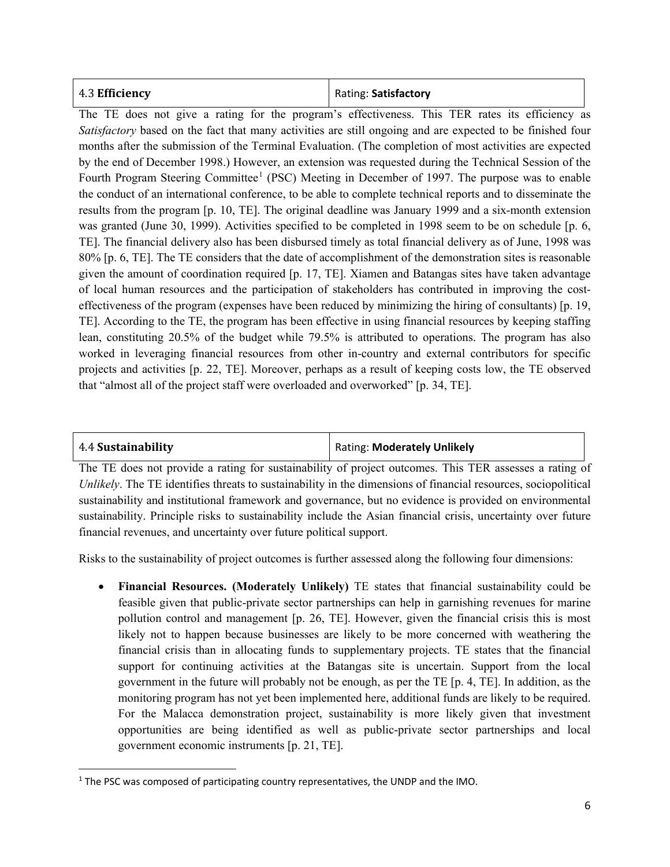| 4.3 Efficiency | Rating: Satisfactory |
|----------------|----------------------|
|----------------|----------------------|

The TE does not give a rating for the program's effectiveness. This TER rates its efficiency as *Satisfactory* based on the fact that many activities are still ongoing and are expected to be finished four months after the submission of the Terminal Evaluation. (The completion of most activities are expected by the end of December 1998.) However, an extension was requested during the Technical Session of the Fourth Program Steering Committee<sup>[1](#page-5-0)</sup> (PSC) Meeting in December of 1997. The purpose was to enable the conduct of an international conference, to be able to complete technical reports and to disseminate the results from the program [p. 10, TE]. The original deadline was January 1999 and a six-month extension was granted (June 30, 1999). Activities specified to be completed in 1998 seem to be on schedule [p. 6, TE]. The financial delivery also has been disbursed timely as total financial delivery as of June, 1998 was 80% [p. 6, TE]. The TE considers that the date of accomplishment of the demonstration sites is reasonable given the amount of coordination required [p. 17, TE]. Xiamen and Batangas sites have taken advantage of local human resources and the participation of stakeholders has contributed in improving the costeffectiveness of the program (expenses have been reduced by minimizing the hiring of consultants) [p. 19, TE]. According to the TE, the program has been effective in using financial resources by keeping staffing lean, constituting 20.5% of the budget while 79.5% is attributed to operations. The program has also worked in leveraging financial resources from other in-country and external contributors for specific projects and activities [p. 22, TE]. Moreover, perhaps as a result of keeping costs low, the TE observed that "almost all of the project staff were overloaded and overworked" [p. 34, TE].

 $\overline{\phantom{a}}$ 

4.4 **Sustainability** Rating: **Moderately Unlikely**

The TE does not provide a rating for sustainability of project outcomes. This TER assesses a rating of *Unlikely*. The TE identifies threats to sustainability in the dimensions of financial resources, sociopolitical sustainability and institutional framework and governance, but no evidence is provided on environmental sustainability. Principle risks to sustainability include the Asian financial crisis, uncertainty over future financial revenues, and uncertainty over future political support.

Risks to the sustainability of project outcomes is further assessed along the following four dimensions:

• **Financial Resources. (Moderately Unlikely)** TE states that financial sustainability could be feasible given that public-private sector partnerships can help in garnishing revenues for marine pollution control and management [p. 26, TE]. However, given the financial crisis this is most likely not to happen because businesses are likely to be more concerned with weathering the financial crisis than in allocating funds to supplementary projects. TE states that the financial support for continuing activities at the Batangas site is uncertain. Support from the local government in the future will probably not be enough, as per the TE [p. 4, TE]. In addition, as the monitoring program has not yet been implemented here, additional funds are likely to be required. For the Malacca demonstration project, sustainability is more likely given that investment opportunities are being identified as well as public-private sector partnerships and local government economic instruments [p. 21, TE].

<span id="page-5-0"></span> $1$  The PSC was composed of participating country representatives, the UNDP and the IMO.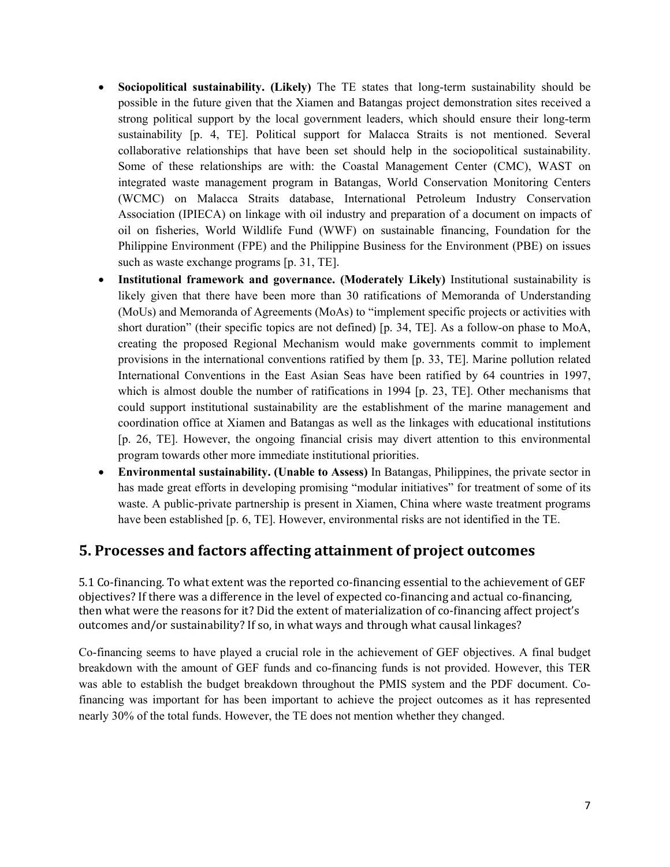- **Sociopolitical sustainability. (Likely)** The TE states that long-term sustainability should be possible in the future given that the Xiamen and Batangas project demonstration sites received a strong political support by the local government leaders, which should ensure their long-term sustainability [p. 4, TE]. Political support for Malacca Straits is not mentioned. Several collaborative relationships that have been set should help in the sociopolitical sustainability. Some of these relationships are with: the Coastal Management Center (CMC), WAST on integrated waste management program in Batangas, World Conservation Monitoring Centers (WCMC) on Malacca Straits database, International Petroleum Industry Conservation Association (IPIECA) on linkage with oil industry and preparation of a document on impacts of oil on fisheries, World Wildlife Fund (WWF) on sustainable financing, Foundation for the Philippine Environment (FPE) and the Philippine Business for the Environment (PBE) on issues such as waste exchange programs [p. 31, TE].
- **Institutional framework and governance. (Moderately Likely)** Institutional sustainability is likely given that there have been more than 30 ratifications of Memoranda of Understanding (MoUs) and Memoranda of Agreements (MoAs) to "implement specific projects or activities with short duration" (their specific topics are not defined) [p. 34, TE]. As a follow-on phase to MoA, creating the proposed Regional Mechanism would make governments commit to implement provisions in the international conventions ratified by them [p. 33, TE]. Marine pollution related International Conventions in the East Asian Seas have been ratified by 64 countries in 1997, which is almost double the number of ratifications in 1994 [p. 23, TE]. Other mechanisms that could support institutional sustainability are the establishment of the marine management and coordination office at Xiamen and Batangas as well as the linkages with educational institutions [p. 26, TE]. However, the ongoing financial crisis may divert attention to this environmental program towards other more immediate institutional priorities.
- **Environmental sustainability. (Unable to Assess)** In Batangas, Philippines, the private sector in has made great efforts in developing promising "modular initiatives" for treatment of some of its waste. A public-private partnership is present in Xiamen, China where waste treatment programs have been established [p. 6, TE]. However, environmental risks are not identified in the TE.

### **5. Processes and factors affecting attainment of project outcomes**

5.1 Co-financing. To what extent was the reported co-financing essential to the achievement of GEF objectives? If there was a difference in the level of expected co-financing and actual co-financing, then what were the reasons for it? Did the extent of materialization of co-financing affect project's outcomes and/or sustainability? If so, in what ways and through what causal linkages?

Co-financing seems to have played a crucial role in the achievement of GEF objectives. A final budget breakdown with the amount of GEF funds and co-financing funds is not provided. However, this TER was able to establish the budget breakdown throughout the PMIS system and the PDF document. Cofinancing was important for has been important to achieve the project outcomes as it has represented nearly 30% of the total funds. However, the TE does not mention whether they changed.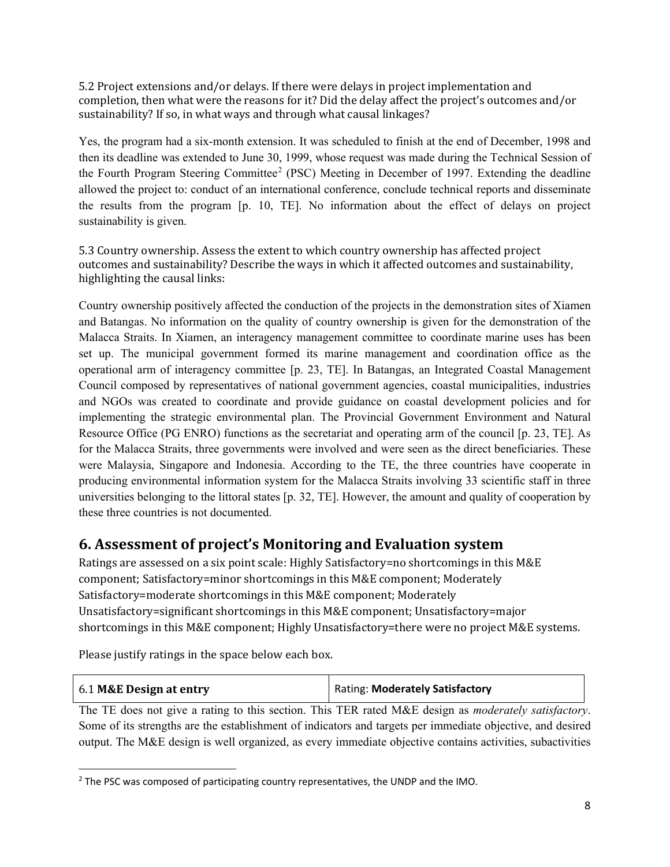5.2 Project extensions and/or delays. If there were delays in project implementation and completion, then what were the reasons for it? Did the delay affect the project's outcomes and/or sustainability? If so, in what ways and through what causal linkages?

Yes, the program had a six-month extension. It was scheduled to finish at the end of December, 1998 and then its deadline was extended to June 30, 1999, whose request was made during the Technical Session of the Fourth Program Steering Committee<sup>[2](#page-7-0)</sup> (PSC) Meeting in December of 1997. Extending the deadline allowed the project to: conduct of an international conference, conclude technical reports and disseminate the results from the program [p. 10, TE]. No information about the effect of delays on project sustainability is given.

5.3 Country ownership. Assess the extent to which country ownership has affected project outcomes and sustainability? Describe the ways in which it affected outcomes and sustainability, highlighting the causal links:

Country ownership positively affected the conduction of the projects in the demonstration sites of Xiamen and Batangas. No information on the quality of country ownership is given for the demonstration of the Malacca Straits. In Xiamen, an interagency management committee to coordinate marine uses has been set up. The municipal government formed its marine management and coordination office as the operational arm of interagency committee [p. 23, TE]. In Batangas, an Integrated Coastal Management Council composed by representatives of national government agencies, coastal municipalities, industries and NGOs was created to coordinate and provide guidance on coastal development policies and for implementing the strategic environmental plan. The Provincial Government Environment and Natural Resource Office (PG ENRO) functions as the secretariat and operating arm of the council [p. 23, TE]. As for the Malacca Straits, three governments were involved and were seen as the direct beneficiaries. These were Malaysia, Singapore and Indonesia. According to the TE, the three countries have cooperate in producing environmental information system for the Malacca Straits involving 33 scientific staff in three universities belonging to the littoral states [p. 32, TE]. However, the amount and quality of cooperation by these three countries is not documented.

### **6. Assessment of project's Monitoring and Evaluation system**

Ratings are assessed on a six point scale: Highly Satisfactory=no shortcomings in this M&E component; Satisfactory=minor shortcomings in this M&E component; Moderately Satisfactory=moderate shortcomings in this M&E component; Moderately Unsatisfactory=significant shortcomings in this M&E component; Unsatisfactory=major shortcomings in this M&E component; Highly Unsatisfactory=there were no project M&E systems.

Please justify ratings in the space below each box.

 $\overline{\phantom{a}}$ 

|  | 6.1 M&E Design at entry | <b>Rating: Moderately Satisfactory</b> |
|--|-------------------------|----------------------------------------|
|--|-------------------------|----------------------------------------|

The TE does not give a rating to this section. This TER rated M&E design as *moderately satisfactory*. Some of its strengths are the establishment of indicators and targets per immediate objective, and desired output. The M&E design is well organized, as every immediate objective contains activities, subactivities

<span id="page-7-0"></span><sup>&</sup>lt;sup>2</sup> The PSC was composed of participating country representatives, the UNDP and the IMO.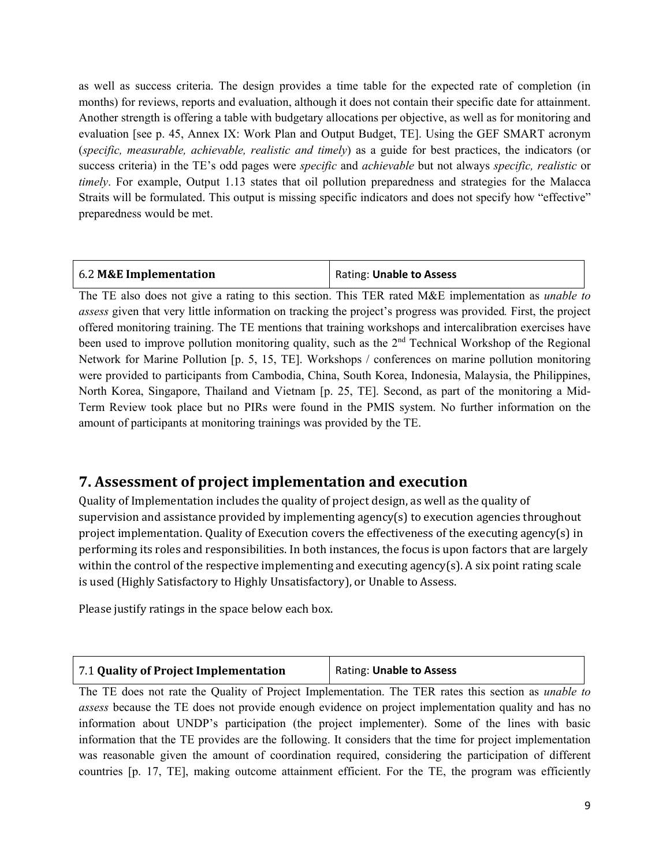as well as success criteria. The design provides a time table for the expected rate of completion (in months) for reviews, reports and evaluation, although it does not contain their specific date for attainment. Another strength is offering a table with budgetary allocations per objective, as well as for monitoring and evaluation [see p. 45, Annex IX: Work Plan and Output Budget, TE]. Using the GEF SMART acronym (*specific, measurable, achievable, realistic and timely*) as a guide for best practices, the indicators (or success criteria) in the TE's odd pages were *specific* and *achievable* but not always *specific, realistic* or *timely*. For example, Output 1.13 states that oil pollution preparedness and strategies for the Malacca Straits will be formulated. This output is missing specific indicators and does not specify how "effective" preparedness would be met.

| 6.2 M&E Implementation | Rating: Unable to Assess |
|------------------------|--------------------------|
|                        |                          |

The TE also does not give a rating to this section. This TER rated M&E implementation as *unable to assess* given that very little information on tracking the project's progress was provided*.* First, the project offered monitoring training. The TE mentions that training workshops and intercalibration exercises have been used to improve pollution monitoring quality, such as the  $2<sup>nd</sup>$  Technical Workshop of the Regional Network for Marine Pollution [p. 5, 15, TE]. Workshops / conferences on marine pollution monitoring were provided to participants from Cambodia, China, South Korea, Indonesia, Malaysia, the Philippines, North Korea, Singapore, Thailand and Vietnam [p. 25, TE]. Second, as part of the monitoring a Mid-Term Review took place but no PIRs were found in the PMIS system. No further information on the amount of participants at monitoring trainings was provided by the TE.

### **7. Assessment of project implementation and execution**

Quality of Implementation includes the quality of project design, as well as the quality of supervision and assistance provided by implementing agency(s) to execution agencies throughout project implementation. Quality of Execution covers the effectiveness of the executing agency(s) in performing its roles and responsibilities. In both instances, the focus is upon factors that are largely within the control of the respective implementing and executing agency(s). A six point rating scale is used (Highly Satisfactory to Highly Unsatisfactory), or Unable to Assess.

Please justify ratings in the space below each box.

| 7.1 Quality of Project Implementation | Rating: Unable to Assess |
|---------------------------------------|--------------------------|
|                                       |                          |

The TE does not rate the Quality of Project Implementation. The TER rates this section as *unable to assess* because the TE does not provide enough evidence on project implementation quality and has no information about UNDP's participation (the project implementer). Some of the lines with basic information that the TE provides are the following. It considers that the time for project implementation was reasonable given the amount of coordination required, considering the participation of different countries [p. 17, TE], making outcome attainment efficient. For the TE, the program was efficiently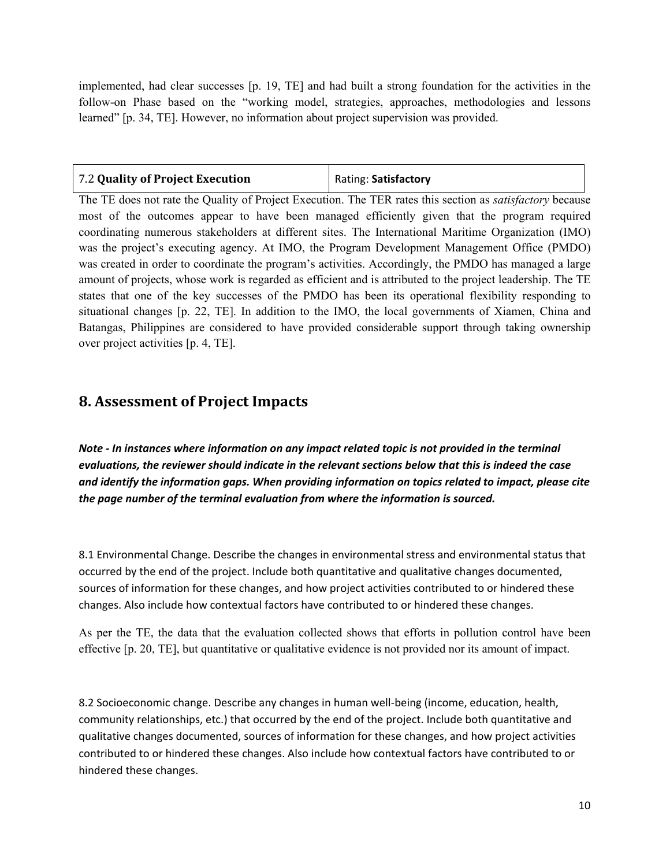implemented, had clear successes [p. 19, TE] and had built a strong foundation for the activities in the follow-on Phase based on the "working model, strategies, approaches, methodologies and lessons learned" [p. 34, TE]. However, no information about project supervision was provided.

| 7.2 Quality of Project Execution | Rating: Satisfactory |
|----------------------------------|----------------------|
|                                  |                      |

The TE does not rate the Quality of Project Execution. The TER rates this section as *satisfactory* because most of the outcomes appear to have been managed efficiently given that the program required coordinating numerous stakeholders at different sites. The International Maritime Organization (IMO) was the project's executing agency. At IMO, the Program Development Management Office (PMDO) was created in order to coordinate the program's activities. Accordingly, the PMDO has managed a large amount of projects, whose work is regarded as efficient and is attributed to the project leadership. The TE states that one of the key successes of the PMDO has been its operational flexibility responding to situational changes [p. 22, TE]. In addition to the IMO, the local governments of Xiamen, China and Batangas, Philippines are considered to have provided considerable support through taking ownership over project activities [p. 4, TE].

### **8. Assessment of Project Impacts**

*Note - In instances where information on any impact related topic is not provided in the terminal evaluations, the reviewer should indicate in the relevant sections below that this is indeed the case and identify the information gaps. When providing information on topics related to impact, please cite the page number of the terminal evaluation from where the information is sourced.* 

8.1 Environmental Change. Describe the changes in environmental stress and environmental status that occurred by the end of the project. Include both quantitative and qualitative changes documented, sources of information for these changes, and how project activities contributed to or hindered these changes. Also include how contextual factors have contributed to or hindered these changes.

As per the TE, the data that the evaluation collected shows that efforts in pollution control have been effective [p. 20, TE], but quantitative or qualitative evidence is not provided nor its amount of impact.

8.2 Socioeconomic change. Describe any changes in human well-being (income, education, health, community relationships, etc.) that occurred by the end of the project. Include both quantitative and qualitative changes documented, sources of information for these changes, and how project activities contributed to or hindered these changes. Also include how contextual factors have contributed to or hindered these changes.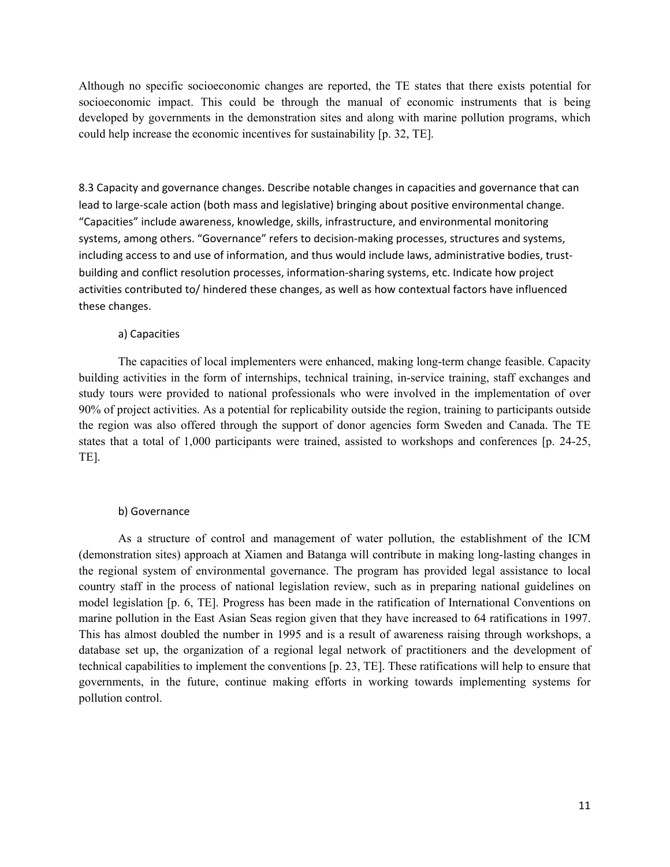Although no specific socioeconomic changes are reported, the TE states that there exists potential for socioeconomic impact. This could be through the manual of economic instruments that is being developed by governments in the demonstration sites and along with marine pollution programs, which could help increase the economic incentives for sustainability [p. 32, TE].

8.3 Capacity and governance changes. Describe notable changes in capacities and governance that can lead to large-scale action (both mass and legislative) bringing about positive environmental change. "Capacities" include awareness, knowledge, skills, infrastructure, and environmental monitoring systems, among others. "Governance" refers to decision-making processes, structures and systems, including access to and use of information, and thus would include laws, administrative bodies, trustbuilding and conflict resolution processes, information-sharing systems, etc. Indicate how project activities contributed to/ hindered these changes, as well as how contextual factors have influenced these changes.

#### a) Capacities

The capacities of local implementers were enhanced, making long-term change feasible. Capacity building activities in the form of internships, technical training, in-service training, staff exchanges and study tours were provided to national professionals who were involved in the implementation of over 90% of project activities. As a potential for replicability outside the region, training to participants outside the region was also offered through the support of donor agencies form Sweden and Canada. The TE states that a total of 1,000 participants were trained, assisted to workshops and conferences [p. 24-25, TE].

#### b) Governance

As a structure of control and management of water pollution, the establishment of the ICM (demonstration sites) approach at Xiamen and Batanga will contribute in making long-lasting changes in the regional system of environmental governance. The program has provided legal assistance to local country staff in the process of national legislation review, such as in preparing national guidelines on model legislation [p. 6, TE]. Progress has been made in the ratification of International Conventions on marine pollution in the East Asian Seas region given that they have increased to 64 ratifications in 1997. This has almost doubled the number in 1995 and is a result of awareness raising through workshops, a database set up, the organization of a regional legal network of practitioners and the development of technical capabilities to implement the conventions [p. 23, TE]. These ratifications will help to ensure that governments, in the future, continue making efforts in working towards implementing systems for pollution control.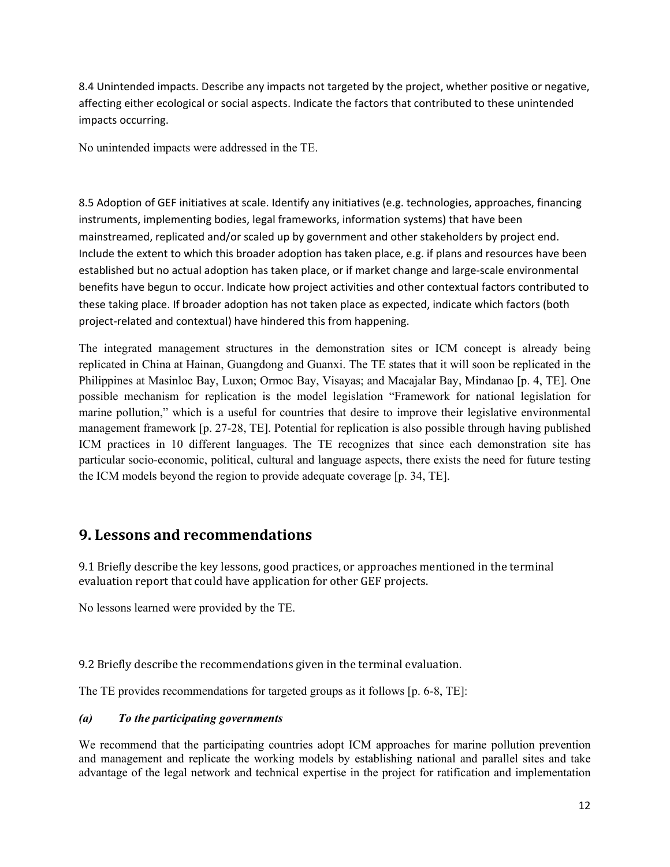8.4 Unintended impacts. Describe any impacts not targeted by the project, whether positive or negative, affecting either ecological or social aspects. Indicate the factors that contributed to these unintended impacts occurring.

No unintended impacts were addressed in the TE.

8.5 Adoption of GEF initiatives at scale. Identify any initiatives (e.g. technologies, approaches, financing instruments, implementing bodies, legal frameworks, information systems) that have been mainstreamed, replicated and/or scaled up by government and other stakeholders by project end. Include the extent to which this broader adoption has taken place, e.g. if plans and resources have been established but no actual adoption has taken place, or if market change and large-scale environmental benefits have begun to occur. Indicate how project activities and other contextual factors contributed to these taking place. If broader adoption has not taken place as expected, indicate which factors (both project-related and contextual) have hindered this from happening.

The integrated management structures in the demonstration sites or ICM concept is already being replicated in China at Hainan, Guangdong and Guanxi. The TE states that it will soon be replicated in the Philippines at Masinloc Bay, Luxon; Ormoc Bay, Visayas; and Macajalar Bay, Mindanao [p. 4, TE]. One possible mechanism for replication is the model legislation "Framework for national legislation for marine pollution," which is a useful for countries that desire to improve their legislative environmental management framework [p. 27-28, TE]. Potential for replication is also possible through having published ICM practices in 10 different languages. The TE recognizes that since each demonstration site has particular socio-economic, political, cultural and language aspects, there exists the need for future testing the ICM models beyond the region to provide adequate coverage [p. 34, TE].

### **9. Lessons and recommendations**

9.1 Briefly describe the key lessons, good practices, or approaches mentioned in the terminal evaluation report that could have application for other GEF projects.

No lessons learned were provided by the TE.

9.2 Briefly describe the recommendations given in the terminal evaluation.

The TE provides recommendations for targeted groups as it follows [p. 6-8, TE]:

#### *(a) To the participating governments*

We recommend that the participating countries adopt ICM approaches for marine pollution prevention and management and replicate the working models by establishing national and parallel sites and take advantage of the legal network and technical expertise in the project for ratification and implementation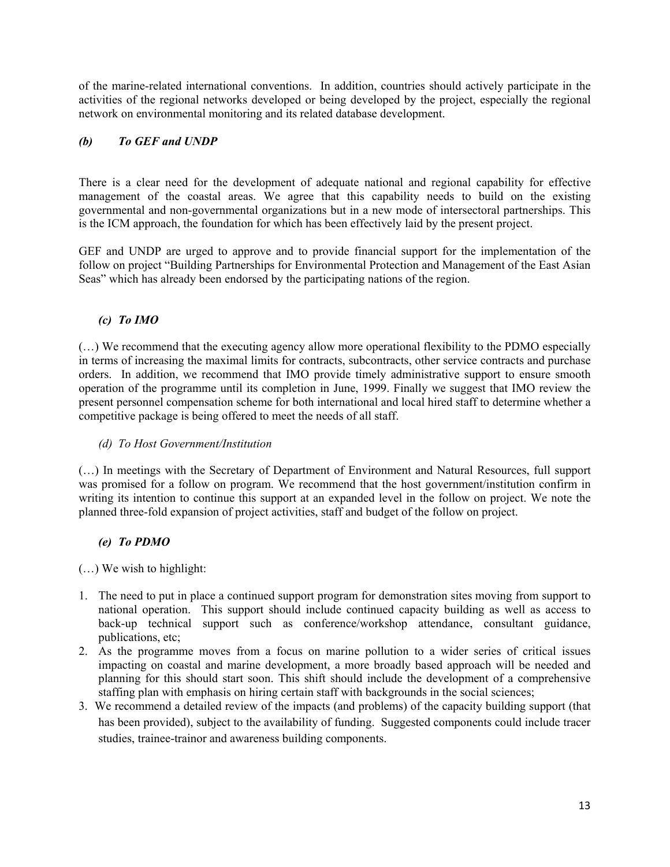of the marine-related international conventions. In addition, countries should actively participate in the activities of the regional networks developed or being developed by the project, especially the regional network on environmental monitoring and its related database development.

### *(b) To GEF and UNDP*

There is a clear need for the development of adequate national and regional capability for effective management of the coastal areas. We agree that this capability needs to build on the existing governmental and non-governmental organizations but in a new mode of intersectoral partnerships. This is the ICM approach, the foundation for which has been effectively laid by the present project.

GEF and UNDP are urged to approve and to provide financial support for the implementation of the follow on project "Building Partnerships for Environmental Protection and Management of the East Asian Seas" which has already been endorsed by the participating nations of the region.

#### *(c) To IMO*

(…) We recommend that the executing agency allow more operational flexibility to the PDMO especially in terms of increasing the maximal limits for contracts, subcontracts, other service contracts and purchase orders. In addition, we recommend that IMO provide timely administrative support to ensure smooth operation of the programme until its completion in June, 1999. Finally we suggest that IMO review the present personnel compensation scheme for both international and local hired staff to determine whether a competitive package is being offered to meet the needs of all staff.

#### *(d) To Host Government/Institution*

(…) In meetings with the Secretary of Department of Environment and Natural Resources, full support was promised for a follow on program. We recommend that the host government/institution confirm in writing its intention to continue this support at an expanded level in the follow on project. We note the planned three-fold expansion of project activities, staff and budget of the follow on project.

#### *(e) To PDMO*

(…) We wish to highlight:

- 1. The need to put in place a continued support program for demonstration sites moving from support to national operation. This support should include continued capacity building as well as access to back-up technical support such as conference/workshop attendance, consultant guidance, publications, etc;
- 2. As the programme moves from a focus on marine pollution to a wider series of critical issues impacting on coastal and marine development, a more broadly based approach will be needed and planning for this should start soon. This shift should include the development of a comprehensive staffing plan with emphasis on hiring certain staff with backgrounds in the social sciences;
- 3. We recommend a detailed review of the impacts (and problems) of the capacity building support (that has been provided), subject to the availability of funding. Suggested components could include tracer studies, trainee-trainor and awareness building components.